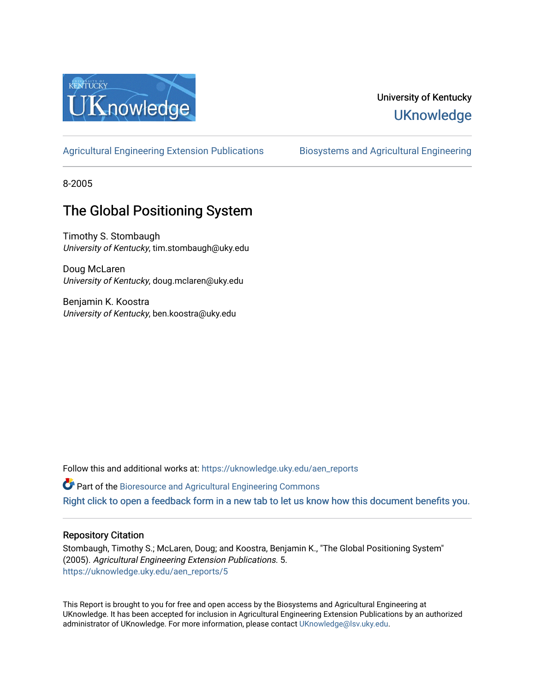

# University of Kentucky **UKnowledge**

[Agricultural Engineering Extension Publications](https://uknowledge.uky.edu/aen_reports) Biosystems and Agricultural Engineering

8-2005

# The Global Positioning System

Timothy S. Stombaugh University of Kentucky, tim.stombaugh@uky.edu

Doug McLaren University of Kentucky, doug.mclaren@uky.edu

Benjamin K. Koostra University of Kentucky, ben.koostra@uky.edu

Follow this and additional works at: [https://uknowledge.uky.edu/aen\\_reports](https://uknowledge.uky.edu/aen_reports?utm_source=uknowledge.uky.edu%2Faen_reports%2F5&utm_medium=PDF&utm_campaign=PDFCoverPages)

Part of the [Bioresource and Agricultural Engineering Commons](http://network.bepress.com/hgg/discipline/1056?utm_source=uknowledge.uky.edu%2Faen_reports%2F5&utm_medium=PDF&utm_campaign=PDFCoverPages)

[Right click to open a feedback form in a new tab to let us know how this document benefits you.](https://uky.az1.qualtrics.com/jfe/form/SV_9mq8fx2GnONRfz7)

# Repository Citation

Stombaugh, Timothy S.; McLaren, Doug; and Koostra, Benjamin K., "The Global Positioning System" (2005). Agricultural Engineering Extension Publications. 5. [https://uknowledge.uky.edu/aen\\_reports/5](https://uknowledge.uky.edu/aen_reports/5?utm_source=uknowledge.uky.edu%2Faen_reports%2F5&utm_medium=PDF&utm_campaign=PDFCoverPages)

This Report is brought to you for free and open access by the Biosystems and Agricultural Engineering at UKnowledge. It has been accepted for inclusion in Agricultural Engineering Extension Publications by an authorized administrator of UKnowledge. For more information, please contact [UKnowledge@lsv.uky.edu](mailto:UKnowledge@lsv.uky.edu).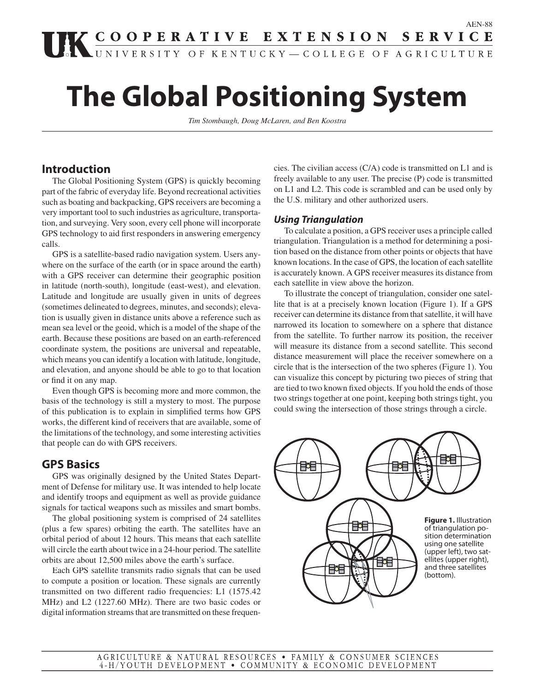# **The Global Positioning System**

*Tim Stombaugh, Doug McLaren, and Ben Koostra*

# **Introduction**

 The Global Positioning System (GPS) is quickly becoming part of the fabric of everyday life. Beyond recreational activities such as boating and backpacking, GPS receivers are becoming a very important tool to such industries as agriculture, transportation, and surveying. Very soon, every cell phone will incorporate GPS technology to aid first responders in answering emergency calls.

 GPS is a satellite-based radio navigation system. Users anywhere on the surface of the earth (or in space around the earth) with a GPS receiver can determine their geographic position in latitude (north-south), longitude (east-west), and elevation. Latitude and longitude are usually given in units of degrees (sometimes delineated to degrees, minutes, and seconds); elevation is usually given in distance units above a reference such as mean sea level or the geoid, which is a model of the shape of the earth. Because these positions are based on an earth-referenced coordinate system, the positions are universal and repeatable, which means you can identify a location with latitude, longitude, and elevation, and anyone should be able to go to that location or find it on any map.

 Even though GPS is becoming more and more common, the basis of the technology is still a mystery to most. The purpose of this publication is to explain in simplified terms how GPS works, the different kind of receivers that are available, some of the limitations of the technology, and some interesting activities that people can do with GPS receivers.

# **GPS Basics**

 GPS was originally designed by the United States Department of Defense for military use. It was intended to help locate and identify troops and equipment as well as provide guidance signals for tactical weapons such as missiles and smart bombs.

 The global positioning system is comprised of 24 satellites (plus a few spares) orbiting the earth. The satellites have an orbital period of about 12 hours. This means that each satellite will circle the earth about twice in a 24-hour period. The satellite orbits are about 12,500 miles above the earth's surface.

 Each GPS satellite transmits radio signals that can be used to compute a position or location. These signals are currently transmitted on two different radio frequencies: L1 (1575.42 MHz) and L2 (1227.60 MHz). There are two basic codes or digital information streams that are transmitted on these frequencies. The civilian access (C/A) code is transmitted on L1 and is freely available to any user. The precise (P) code is transmitted on L1 and L2. This code is scrambled and can be used only by the U.S. military and other authorized users.

## **Using Triangulation**

 To calculate a position, a GPS receiver uses a principle called triangulation. Triangulation is a method for determining a position based on the distance from other points or objects that have known locations. In the case of GPS, the location of each satellite is accurately known. A GPS receiver measures its distance from each satellite in view above the horizon.

 To illustrate the concept of triangulation, consider one satellite that is at a precisely known location (Figure 1). If a GPS receiver can determine its distance from that satellite, it will have narrowed its location to somewhere on a sphere that distance from the satellite. To further narrow its position, the receiver will measure its distance from a second satellite. This second distance measurement will place the receiver somewhere on a circle that is the intersection of the two spheres (Figure 1). You can visualize this concept by picturing two pieces of string that are tied to two known fixed objects. If you hold the ends of those two strings together at one point, keeping both strings tight, you could swing the intersection of those strings through a circle.

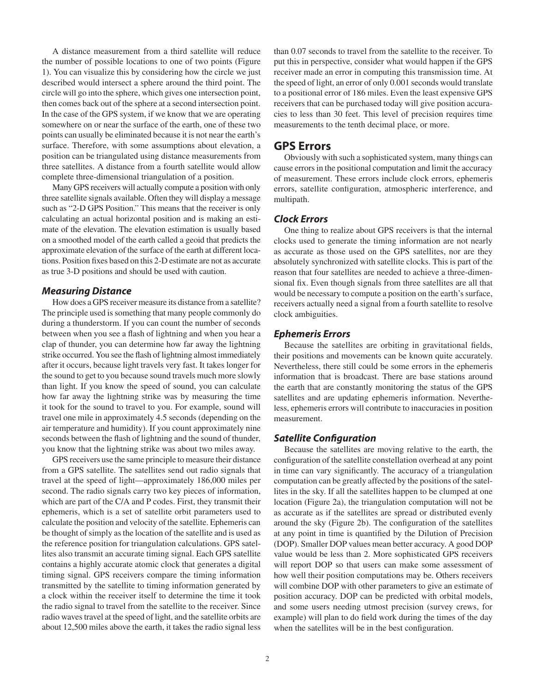A distance measurement from a third satellite will reduce the number of possible locations to one of two points (Figure 1). You can visualize this by considering how the circle we just described would intersect a sphere around the third point. The circle will go into the sphere, which gives one intersection point, then comes back out of the sphere at a second intersection point. In the case of the GPS system, if we know that we are operating somewhere on or near the surface of the earth, one of these two points can usually be eliminated because it is not near the earth's surface. Therefore, with some assumptions about elevation, a position can be triangulated using distance measurements from three satellites. A distance from a fourth satellite would allow complete three-dimensional triangulation of a position.

 Many GPS receivers will actually compute a position with only three satellite signals available. Often they will display a message such as "2-D GPS Position." This means that the receiver is only calculating an actual horizontal position and is making an estimate of the elevation. The elevation estimation is usually based on a smoothed model of the earth called a geoid that predicts the approximate elevation of the surface of the earth at different locations. Position fixes based on this 2-D estimate are not as accurate as true 3-D positions and should be used with caution.

#### **Measuring Distance**

 How does a GPS receiver measure its distance from a satellite? The principle used is something that many people commonly do during a thunderstorm. If you can count the number of seconds between when you see a flash of lightning and when you hear a clap of thunder, you can determine how far away the lightning strike occurred. You see the flash of lightning almost immediately after it occurs, because light travels very fast. It takes longer for the sound to get to you because sound travels much more slowly than light. If you know the speed of sound, you can calculate how far away the lightning strike was by measuring the time it took for the sound to travel to you. For example, sound will travel one mile in approximately 4.5 seconds (depending on the air temperature and humidity). If you count approximately nine seconds between the flash of lightning and the sound of thunder, you know that the lightning strike was about two miles away.

 GPS receivers use the same principle to measure their distance from a GPS satellite. The satellites send out radio signals that travel at the speed of light—approximately 186,000 miles per second. The radio signals carry two key pieces of information, which are part of the C/A and P codes. First, they transmit their ephemeris, which is a set of satellite orbit parameters used to calculate the position and velocity of the satellite. Ephemeris can be thought of simply as the location of the satellite and is used as the reference position for triangulation calculations. GPS satellites also transmit an accurate timing signal. Each GPS satellite contains a highly accurate atomic clock that generates a digital timing signal. GPS receivers compare the timing information transmitted by the satellite to timing information generated by a clock within the receiver itself to determine the time it took the radio signal to travel from the satellite to the receiver. Since radio waves travel at the speed of light, and the satellite orbits are about 12,500 miles above the earth, it takes the radio signal less

than 0.07 seconds to travel from the satellite to the receiver. To put this in perspective, consider what would happen if the GPS receiver made an error in computing this transmission time. At the speed of light, an error of only 0.001 seconds would translate to a positional error of 186 miles. Even the least expensive GPS receivers that can be purchased today will give position accuracies to less than 30 feet. This level of precision requires time measurements to the tenth decimal place, or more.

#### **GPS Errors**

 Obviously with such a sophisticated system, many things can cause errors in the positional computation and limit the accuracy of measurement. These errors include clock errors, ephemeris errors, satellite configuration, atmospheric interference, and multipath.

#### **Clock Errors**

 One thing to realize about GPS receivers is that the internal clocks used to generate the timing information are not nearly as accurate as those used on the GPS satellites, nor are they absolutely synchronized with satellite clocks. This is part of the reason that four satellites are needed to achieve a three-dimensional fix. Even though signals from three satellites are all that would be necessary to compute a position on the earth's surface, receivers actually need a signal from a fourth satellite to resolve clock ambiguities.

#### **Ephemeris Errors**

Because the satellites are orbiting in gravitational fields, their positions and movements can be known quite accurately. Nevertheless, there still could be some errors in the ephemeris information that is broadcast. There are base stations around the earth that are constantly monitoring the status of the GPS satellites and are updating ephemeris information. Nevertheless, ephemeris errors will contribute to inaccuracies in position measurement.

#### **Satellite Configuration**

 Because the satellites are moving relative to the earth, the configuration of the satellite constellation overhead at any point in time can vary significantly. The accuracy of a triangulation computation can be greatly affected by the positions of the satellites in the sky. If all the satellites happen to be clumped at one location (Figure 2a), the triangulation computation will not be as accurate as if the satellites are spread or distributed evenly around the sky (Figure 2b). The configuration of the satellites at any point in time is quantified by the Dilution of Precision (DOP). Smaller DOP values mean better accuracy. A good DOP value would be less than 2. More sophisticated GPS receivers will report DOP so that users can make some assessment of how well their position computations may be. Others receivers will combine DOP with other parameters to give an estimate of position accuracy. DOP can be predicted with orbital models, and some users needing utmost precision (survey crews, for example) will plan to do field work during the times of the day when the satellites will be in the best configuration.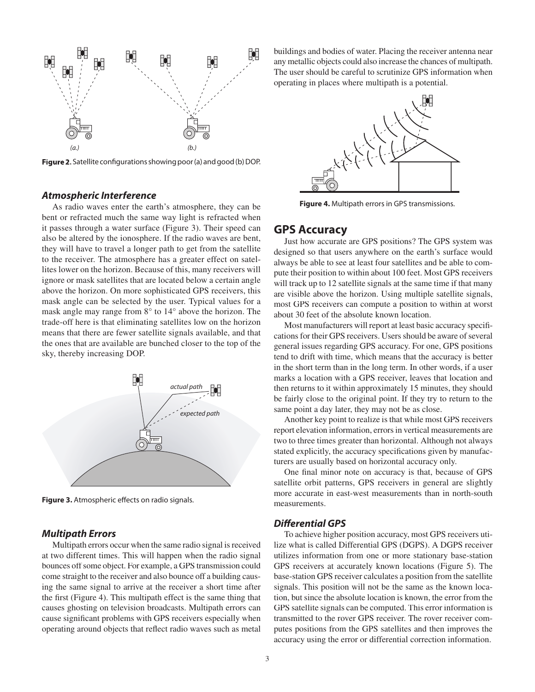

Figure 2. Satellite configurations showing poor (a) and good (b) DOP.

#### **Atmospheric Interference**

 As radio waves enter the earth's atmosphere, they can be bent or refracted much the same way light is refracted when it passes through a water surface (Figure 3). Their speed can also be altered by the ionosphere. If the radio waves are bent, they will have to travel a longer path to get from the satellite to the receiver. The atmosphere has a greater effect on satellites lower on the horizon. Because of this, many receivers will ignore or mask satellites that are located below a certain angle above the horizon. On more sophisticated GPS receivers, this mask angle can be selected by the user. Typical values for a mask angle may range from 8° to 14° above the horizon. The trade-off here is that eliminating satellites low on the horizon means that there are fewer satellite signals available, and that the ones that are available are bunched closer to the top of the sky, thereby increasing DOP.



Figure 3. Atmospheric effects on radio signals.

#### **Multipath Errors**

 Multipath errors occur when the same radio signal is received at two different times. This will happen when the radio signal bounces off some object. For example, a GPS transmission could come straight to the receiver and also bounce off a building causing the same signal to arrive at the receiver a short time after the first (Figure 4). This multipath effect is the same thing that causes ghosting on television broadcasts. Multipath errors can cause significant problems with GPS receivers especially when operating around objects that reflect radio waves such as metal

buildings and bodies of water. Placing the receiver antenna near any metallic objects could also increase the chances of multipath. The user should be careful to scrutinize GPS information when operating in places where multipath is a potential.



**Figure 4.** Multipath errors in GPS transmissions.

# **GPS Accuracy**

 Just how accurate are GPS positions? The GPS system was designed so that users anywhere on the earth's surface would always be able to see at least four satellites and be able to compute their position to within about 100 feet. Most GPS receivers will track up to 12 satellite signals at the same time if that many are visible above the horizon. Using multiple satellite signals, most GPS receivers can compute a position to within at worst about 30 feet of the absolute known location.

 Most manufacturers will report at least basic accuracy specifi cations for their GPS receivers. Users should be aware of several general issues regarding GPS accuracy. For one, GPS positions tend to drift with time, which means that the accuracy is better in the short term than in the long term. In other words, if a user marks a location with a GPS receiver, leaves that location and then returns to it within approximately 15 minutes, they should be fairly close to the original point. If they try to return to the same point a day later, they may not be as close.

 Another key point to realize is that while most GPS receivers report elevation information, errors in vertical measurements are two to three times greater than horizontal. Although not always stated explicitly, the accuracy specifications given by manufacturers are usually based on horizontal accuracy only.

One final minor note on accuracy is that, because of GPS satellite orbit patterns, GPS receivers in general are slightly more accurate in east-west measurements than in north-south measurements.

#### **Differential GPS**

 To achieve higher position accuracy, most GPS receivers utilize what is called Differential GPS (DGPS). A DGPS receiver utilizes information from one or more stationary base-station GPS receivers at accurately known locations (Figure 5). The base-station GPS receiver calculates a position from the satellite signals. This position will not be the same as the known location, but since the absolute location is known, the error from the GPS satellite signals can be computed. This error information is transmitted to the rover GPS receiver. The rover receiver computes positions from the GPS satellites and then improves the accuracy using the error or differential correction information.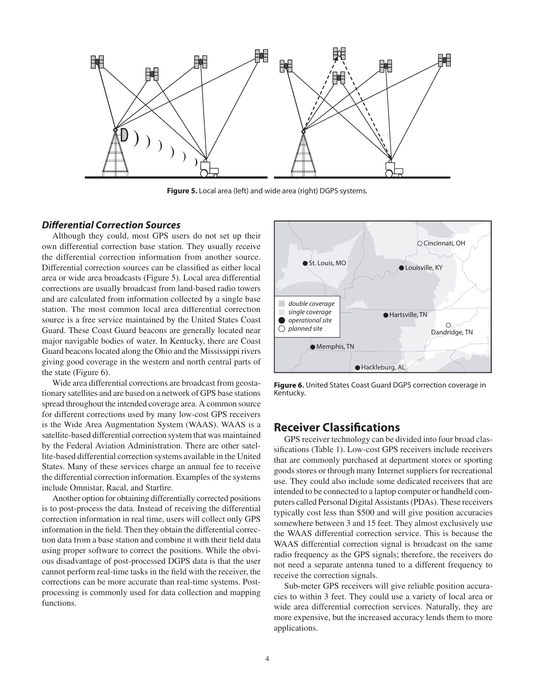

**Figure 5.** Local area (left) and wide area (right) DGPS systems.

### **Differential Correction Sources**

 Although they could, most GPS users do not set up their own differential correction base station. They usually receive the differential correction information from another source. Differential correction sources can be classified as either local area or wide area broadcasts (Figure 5). Local area differential corrections are usually broadcast from land-based radio towers and are calculated from information collected by a single base station. The most common local area differential correction source is a free service maintained by the United States Coast Guard. These Coast Guard beacons are generally located near major navigable bodies of water. In Kentucky, there are Coast Guard beacons located along the Ohio and the Mississippi rivers giving good coverage in the western and north central parts of the state (Figure 6).

 Wide area differential corrections are broadcast from geostationary satellites and are based on a network of GPS base stations spread throughout the intended coverage area. A common source for different corrections used by many low-cost GPS receivers is the Wide Area Augmentation System (WAAS). WAAS is a satellite-based differential correction system that was maintained by the Federal Aviation Administration. There are other satellite-based differential correction systems available in the United States. Many of these services charge an annual fee to receive the differential correction information. Examples of the systems include Omnistar, Racal, and Starfire.

 Another option for obtaining differentially corrected positions is to post-process the data. Instead of receiving the differential correction information in real time, users will collect only GPS information in the field. Then they obtain the differential correction data from a base station and combine it with their field data using proper software to correct the positions. While the obvious disadvantage of post-processed DGPS data is that the user cannot perform real-time tasks in the field with the receiver, the corrections can be more accurate than real-time systems. Postprocessing is commonly used for data collection and mapping functions.



**Figure 6.** United States Coast Guard DGPS correction coverage in Kentucky.

# **Receiver Classifi cations**

 GPS receiver technology can be divided into four broad classifications (Table 1). Low-cost GPS receivers include receivers that are commonly purchased at department stores or sporting goods stores or through many Internet suppliers for recreational use. They could also include some dedicated receivers that are intended to be connected to a laptop computer or handheld computers called Personal Digital Assistants (PDAs). These receivers typically cost less than \$500 and will give position accuracies somewhere between 3 and 15 feet. They almost exclusively use the WAAS differential correction service. This is because the WAAS differential correction signal is broadcast on the same radio frequency as the GPS signals; therefore, the receivers do not need a separate antenna tuned to a different frequency to receive the correction signals.

 Sub-meter GPS receivers will give reliable position accuracies to within 3 feet. They could use a variety of local area or wide area differential correction services. Naturally, they are more expensive, but the increased accuracy lends them to more applications.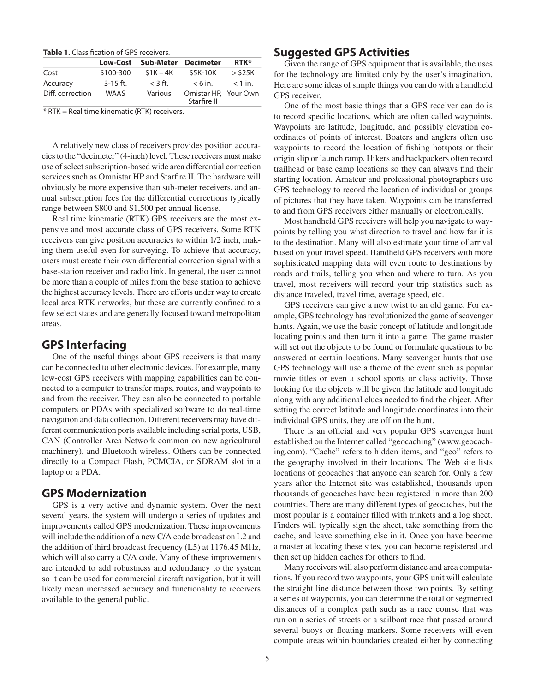Table 1. Classification of GPS receivers.

|                  |             | Low-Cost Sub-Meter Decimeter |                                     | <b>RTK*</b> |
|------------------|-------------|------------------------------|-------------------------------------|-------------|
| Cost             | \$100-300   | $$1K-4K$                     | \$5K-10K                            | $>$ \$25K   |
| Accuracy         | $3-15$ ft.  | $<$ 3 ft.                    | $< 6$ in.                           | $<$ 1 in.   |
| Diff. correction | <b>WAAS</b> | Various                      | Omistar HP, Your Own<br>Starfire II |             |

\* RTK = Real time kinematic (RTK) receivers.

 A relatively new class of receivers provides position accuracies to the "decimeter" (4-inch) level. These receivers must make use of select subscription-based wide area differential correction services such as Omnistar HP and Starfire II. The hardware will obviously be more expensive than sub-meter receivers, and annual subscription fees for the differential corrections typically range between \$800 and \$1,500 per annual license.

 Real time kinematic (RTK) GPS receivers are the most expensive and most accurate class of GPS receivers. Some RTK receivers can give position accuracies to within 1/2 inch, making them useful even for surveying. To achieve that accuracy, users must create their own differential correction signal with a base-station receiver and radio link. In general, the user cannot be more than a couple of miles from the base station to achieve the highest accuracy levels. There are efforts under way to create local area RTK networks, but these are currently confined to a few select states and are generally focused toward metropolitan areas.

# **GPS Interfacing**

 One of the useful things about GPS receivers is that many can be connected to other electronic devices. For example, many low-cost GPS receivers with mapping capabilities can be connected to a computer to transfer maps, routes, and waypoints to and from the receiver. They can also be connected to portable computers or PDAs with specialized software to do real-time navigation and data collection. Different receivers may have different communication ports available including serial ports, USB, CAN (Controller Area Network common on new agricultural machinery), and Bluetooth wireless. Others can be connected directly to a Compact Flash, PCMCIA, or SDRAM slot in a laptop or a PDA.

## **GPS Modernization**

 GPS is a very active and dynamic system. Over the next several years, the system will undergo a series of updates and improvements called GPS modernization. These improvements will include the addition of a new C/A code broadcast on L2 and the addition of third broadcast frequency (L5) at 1176.45 MHz, which will also carry a C/A code. Many of these improvements are intended to add robustness and redundancy to the system so it can be used for commercial aircraft navigation, but it will likely mean increased accuracy and functionality to receivers available to the general public.

# **Suggested GPS Activities**

 Given the range of GPS equipment that is available, the uses for the technology are limited only by the user's imagination. Here are some ideas of simple things you can do with a handheld GPS receiver.

 One of the most basic things that a GPS receiver can do is to record specific locations, which are often called waypoints. Waypoints are latitude, longitude, and possibly elevation coordinates of points of interest. Boaters and anglers often use waypoints to record the location of fishing hotspots or their origin slip or launch ramp. Hikers and backpackers often record trailhead or base camp locations so they can always find their starting location. Amateur and professional photographers use GPS technology to record the location of individual or groups of pictures that they have taken. Waypoints can be transferred to and from GPS receivers either manually or electronically.

 Most handheld GPS receivers will help you navigate to waypoints by telling you what direction to travel and how far it is to the destination. Many will also estimate your time of arrival based on your travel speed. Handheld GPS receivers with more sophisticated mapping data will even route to destinations by roads and trails, telling you when and where to turn. As you travel, most receivers will record your trip statistics such as distance traveled, travel time, average speed, etc.

 GPS receivers can give a new twist to an old game. For example, GPS technology has revolutionized the game of scavenger hunts. Again, we use the basic concept of latitude and longitude locating points and then turn it into a game. The game master will set out the objects to be found or formulate questions to be answered at certain locations. Many scavenger hunts that use GPS technology will use a theme of the event such as popular movie titles or even a school sports or class activity. Those looking for the objects will be given the latitude and longitude along with any additional clues needed to find the object. After setting the correct latitude and longitude coordinates into their individual GPS units, they are off on the hunt.

There is an official and very popular GPS scavenger hunt established on the Internet called "geocaching" (www.geocaching.com). "Cache" refers to hidden items, and "geo" refers to the geography involved in their locations. The Web site lists locations of geocaches that anyone can search for. Only a few years after the Internet site was established, thousands upon thousands of geocaches have been registered in more than 200 countries. There are many different types of geocaches, but the most popular is a container filled with trinkets and a log sheet. Finders will typically sign the sheet, take something from the cache, and leave something else in it. Once you have become a master at locating these sites, you can become registered and then set up hidden caches for others to find.

 Many receivers will also perform distance and area computations. If you record two waypoints, your GPS unit will calculate the straight line distance between those two points. By setting a series of waypoints, you can determine the total or segmented distances of a complex path such as a race course that was run on a series of streets or a sailboat race that passed around several buoys or floating markers. Some receivers will even compute areas within boundaries created either by connecting